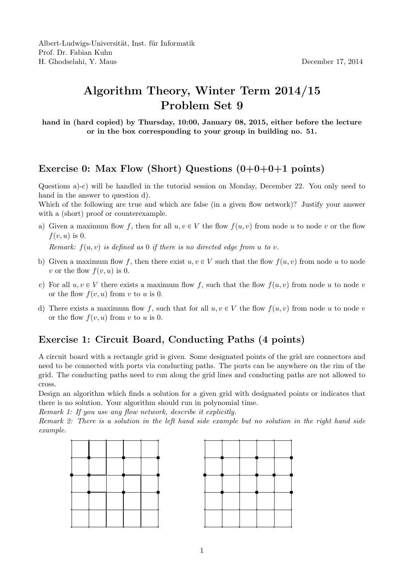## Algorithm Theory, Winter Term 2014/15 Problem Set 9

hand in (hard copied) by Thursday, 10:00, January 08, 2015, either before the lecture or in the box corresponding to your group in building no. 51.

## Exercise 0: Max Flow (Short) Questions  $(0+0+0+1$  points)

Questions a)-c) will be handled in the tutorial session on Monday, December 22. You only need to hand in the answer to question d).

Which of the following are true and which are false (in a given flow network)? Justify your answer with a (short) proof or counterexample.

a) Given a maximum flow f, then for all  $u, v \in V$  the flow  $f(u, v)$  from node u to node v or the flow  $f(v, u)$  is 0.

Remark:  $f(u, v)$  is defined as 0 if there is no directed edge from u to v.

- b) Given a maximum flow f, then there exist  $u, v \in V$  such that the flow  $f(u, v)$  from node u to node v or the flow  $f(v, u)$  is 0.
- c) For all  $u, v \in V$  there exists a maximum flow f, such that the flow  $f(u, v)$  from node u to node v or the flow  $f(v, u)$  from v to u is 0.
- d) There exists a maximum flow f, such that for all  $u, v \in V$  the flow  $f(u, v)$  from node u to node v or the flow  $f(v, u)$  from v to u is 0.

## Exercise 1: Circuit Board, Conducting Paths (4 points)

A circuit board with a rectangle grid is given. Some designated points of the grid are connectors and need to be connected with ports via conducting paths. The ports can be anywhere on the rim of the grid. The conducting paths need to run along the grid lines and conducting paths are not allowed to cross.

Design an algorithm which finds a solution for a given grid with designated points or indicates that there is no solution. Your algorithm should run in polynomial time.

Remark 1: If you use any flow network, describe it explicitly.

Remark 2: There is a solution in the left hand side example but no solution in the right hand side example.